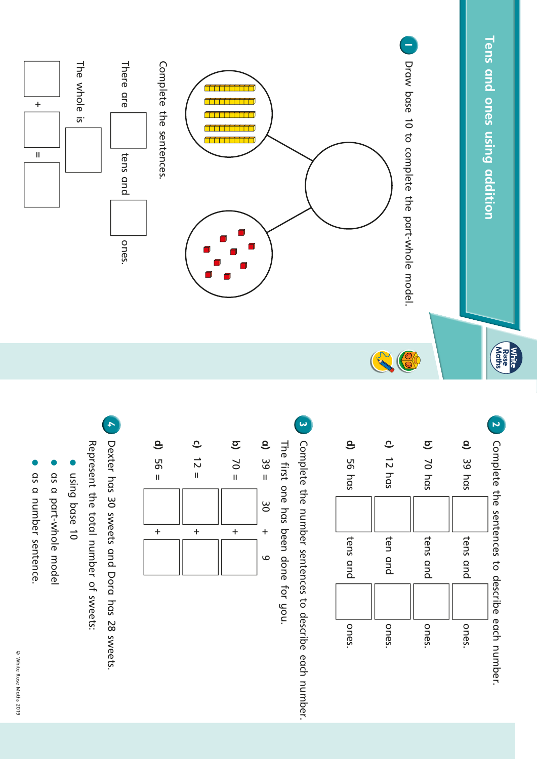





has been done for you.



 $\overset{\mathsf{w}}{\mathsf{0}}$ sweets and Dora has  $\approx$ sweets. the total number o<br>T sweets:

- base 10
- part-whole model
- number sentence.
- © White Rose Maths

2019